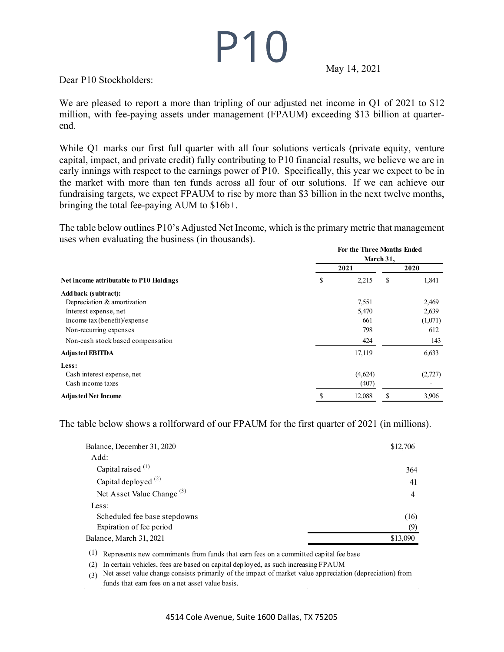## $P10$

May 14, 2021

Dear P10 Stockholders:

We are pleased to report a more than tripling of our adjusted net income in Q1 of 2021 to \$12 million, with fee-paying assets under management (FPAUM) exceeding \$13 billion at quarterend.

While Q1 marks our first full quarter with all four solutions verticals (private equity, venture capital, impact, and private credit) fully contributing to P10 financial results, we believe we are in early innings with respect to the earnings power of P10. Specifically, this year we expect to be in the market with more than ten funds across all four of our solutions. If we can achieve our fundraising targets, we expect FPAUM to rise by more than \$3 billion in the next twelve months, bringing the total fee-paying AUM to \$16b+.

The table below outlines P10's Adjusted Net Income, which is the primary metric that management uses when evaluating the business (in thousands). **For the Three Months Ended**

| For the Three Months Ended<br>March 31, |         |      |         |
|-----------------------------------------|---------|------|---------|
|                                         |         |      |         |
| \$                                      | 2,215   | \$   | 1,841   |
|                                         |         |      |         |
|                                         | 7,551   |      | 2,469   |
|                                         | 5,470   |      | 2,639   |
|                                         | 661     |      | (1,071) |
|                                         | 798     |      | 612     |
|                                         | 424     |      | 143     |
|                                         | 17,119  |      | 6,633   |
|                                         |         |      |         |
|                                         | (4,624) |      | (2,727) |
|                                         | (407)   |      |         |
|                                         | 12,088  |      | 3,906   |
|                                         |         | 2021 |         |

The table below shows a rollforward of our FPAUM for the first quarter of 2021 (in millions).

| Balance, December 31, 2020            | \$12,706       |
|---------------------------------------|----------------|
| Add:                                  |                |
| Capital raised $(1)$                  | 364            |
| Capital deployed $(2)$                | 41             |
| Net Asset Value Change <sup>(3)</sup> | $\overline{4}$ |
| Less:                                 |                |
| Scheduled fee base stepdowns          | (16)           |
| Expiration of fee period              | (9)            |
| Balance, March 31, 2021               | \$13,090       |
|                                       |                |

(1) Represents new commiments from funds that earn fees on a committed capital fee base

(2) In certain vehicles, fees are based on capital deployed, as such increasing FPAUM

(3) Net asset value change consists primarily of the impact of market value appreciation (depreciation) from funds that earn fees on a net asset value basis.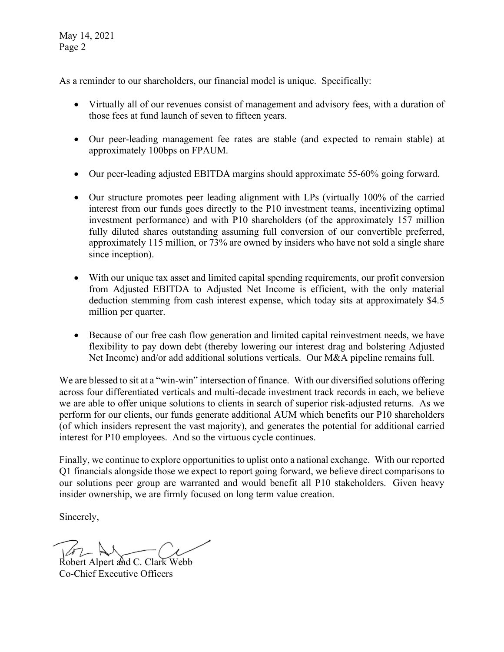May 14, 2021 Page 2

As a reminder to our shareholders, our financial model is unique. Specifically:

- Virtually all of our revenues consist of management and advisory fees, with a duration of those fees at fund launch of seven to fifteen years.
- Our peer-leading management fee rates are stable (and expected to remain stable) at approximately 100bps on FPAUM.
- Our peer-leading adjusted EBITDA margins should approximate 55-60% going forward.
- Our structure promotes peer leading alignment with LPs (virtually 100% of the carried interest from our funds goes directly to the P10 investment teams, incentivizing optimal investment performance) and with P10 shareholders (of the approximately 157 million fully diluted shares outstanding assuming full conversion of our convertible preferred, approximately 115 million, or 73% are owned by insiders who have not sold a single share since inception).
- With our unique tax asset and limited capital spending requirements, our profit conversion from Adjusted EBITDA to Adjusted Net Income is efficient, with the only material deduction stemming from cash interest expense, which today sits at approximately \$4.5 million per quarter.
- Because of our free cash flow generation and limited capital reinvestment needs, we have flexibility to pay down debt (thereby lowering our interest drag and bolstering Adjusted Net Income) and/or add additional solutions verticals. Our M&A pipeline remains full.

We are blessed to sit at a "win-win" intersection of finance. With our diversified solutions offering across four differentiated verticals and multi-decade investment track records in each, we believe we are able to offer unique solutions to clients in search of superior risk-adjusted returns. As we perform for our clients, our funds generate additional AUM which benefits our P10 shareholders (of which insiders represent the vast majority), and generates the potential for additional carried interest for P10 employees. And so the virtuous cycle continues.

Finally, we continue to explore opportunities to uplist onto a national exchange. With our reported Q1 financials alongside those we expect to report going forward, we believe direct comparisons to our solutions peer group are warranted and would benefit all P10 stakeholders. Given heavy insider ownership, we are firmly focused on long term value creation.

Sincerely,

Robert Alpert and C. Clark Webb Co-Chief Executive Officers